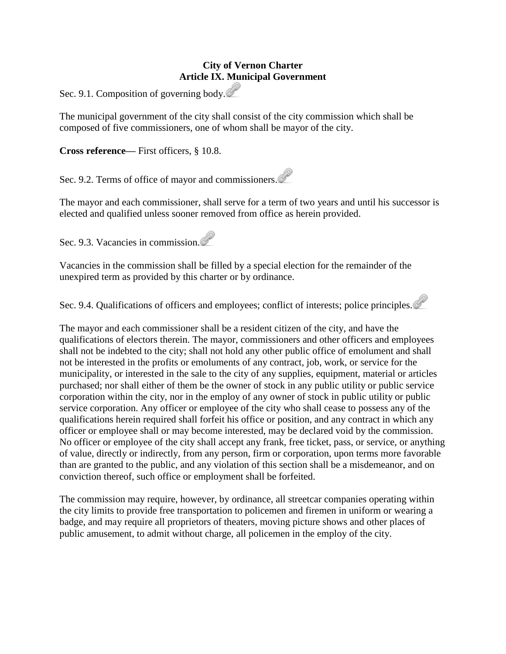## **City of Vernon Charter Article IX. Municipal Government**

Sec. 9.1. Composition of governing body.

The municipal government of the city shall consist of the city commission which shall be composed of five commissioners, one of whom shall be mayor of the city.

**Cross reference—** First officers, § 10.8.

Sec. 9.2. Terms of office of mayor and commissioners.

The mayor and each commissioner, shall serve for a term of two years and until his successor is elected and qualified unless sooner removed from office as herein provided.

Sec. 9.3. Vacancies in commission.

Vacancies in the commission shall be filled by a special election for the remainder of the unexpired term as provided by this charter or by ordinance.

Sec. 9.4. Qualifications of officers and employees; conflict of interests; police principles.

The mayor and each commissioner shall be a resident citizen of the city, and have the qualifications of electors therein. The mayor, commissioners and other officers and employees shall not be indebted to the city; shall not hold any other public office of emolument and shall not be interested in the profits or emoluments of any contract, job, work, or service for the municipality, or interested in the sale to the city of any supplies, equipment, material or articles purchased; nor shall either of them be the owner of stock in any public utility or public service corporation within the city, nor in the employ of any owner of stock in public utility or public service corporation. Any officer or employee of the city who shall cease to possess any of the qualifications herein required shall forfeit his office or position, and any contract in which any officer or employee shall or may become interested, may be declared void by the commission. No officer or employee of the city shall accept any frank, free ticket, pass, or service, or anything of value, directly or indirectly, from any person, firm or corporation, upon terms more favorable than are granted to the public, and any violation of this section shall be a misdemeanor, and on conviction thereof, such office or employment shall be forfeited.

The commission may require, however, by ordinance, all streetcar companies operating within the city limits to provide free transportation to policemen and firemen in uniform or wearing a badge, and may require all proprietors of theaters, moving picture shows and other places of public amusement, to admit without charge, all policemen in the employ of the city.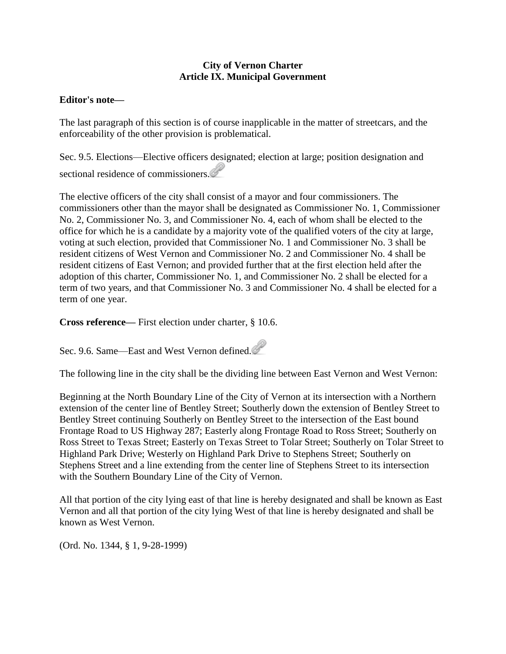## **City of Vernon Charter Article IX. Municipal Government**

## **Editor's note—**

The last paragraph of this section is of course inapplicable in the matter of streetcars, and the enforceability of the other provision is problematical.

Sec. 9.5. Elections—Elective officers designated; election at large; position designation and sectional residence of commissioners.

The elective officers of the city shall consist of a mayor and four commissioners. The commissioners other than the mayor shall be designated as Commissioner No. 1, Commissioner No. 2, Commissioner No. 3, and Commissioner No. 4, each of whom shall be elected to the office for which he is a candidate by a majority vote of the qualified voters of the city at large, voting at such election, provided that Commissioner No. 1 and Commissioner No. 3 shall be resident citizens of West Vernon and Commissioner No. 2 and Commissioner No. 4 shall be resident citizens of East Vernon; and provided further that at the first election held after the adoption of this charter, Commissioner No. 1, and Commissioner No. 2 shall be elected for a term of two years, and that Commissioner No. 3 and Commissioner No. 4 shall be elected for a term of one year.

**Cross reference—** First election under charter, § 10.6.

Sec. 9.6. Same—East and West Vernon defined.

The following line in the city shall be the dividing line between East Vernon and West Vernon:

Beginning at the North Boundary Line of the City of Vernon at its intersection with a Northern extension of the center line of Bentley Street; Southerly down the extension of Bentley Street to Bentley Street continuing Southerly on Bentley Street to the intersection of the East bound Frontage Road to US Highway 287; Easterly along Frontage Road to Ross Street; Southerly on Ross Street to Texas Street; Easterly on Texas Street to Tolar Street; Southerly on Tolar Street to Highland Park Drive; Westerly on Highland Park Drive to Stephens Street; Southerly on Stephens Street and a line extending from the center line of Stephens Street to its intersection with the Southern Boundary Line of the City of Vernon.

All that portion of the city lying east of that line is hereby designated and shall be known as East Vernon and all that portion of the city lying West of that line is hereby designated and shall be known as West Vernon.

(Ord. No. 1344, § 1, 9-28-1999)